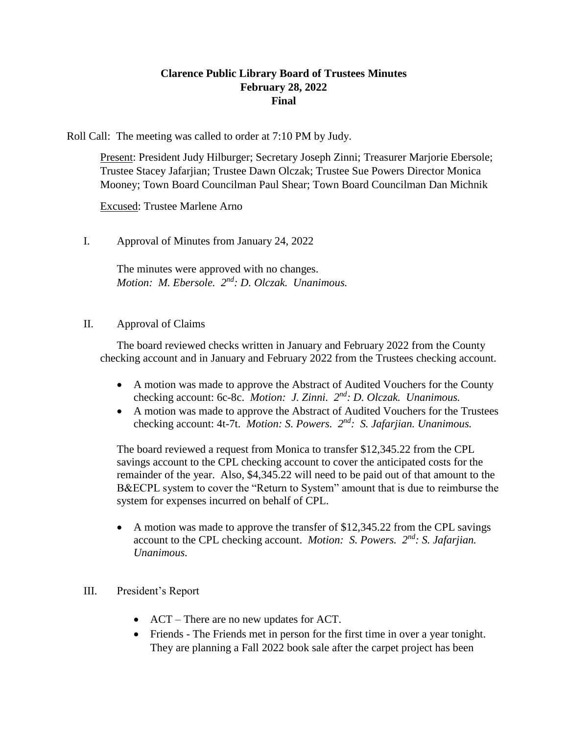## **Clarence Public Library Board of Trustees Minutes February 28, 2022 Final**

Roll Call: The meeting was called to order at 7:10 PM by Judy.

Present: President Judy Hilburger; Secretary Joseph Zinni; Treasurer Marjorie Ebersole; Trustee Stacey Jafarjian; Trustee Dawn Olczak; Trustee Sue Powers Director Monica Mooney; Town Board Councilman Paul Shear; Town Board Councilman Dan Michnik

Excused: Trustee Marlene Arno

I. Approval of Minutes from January 24, 2022

The minutes were approved with no changes. *Motion: M. Ebersole. 2 nd: D. Olczak. Unanimous.*

#### II. Approval of Claims

The board reviewed checks written in January and February 2022 from the County checking account and in January and February 2022 from the Trustees checking account.

- A motion was made to approve the Abstract of Audited Vouchers for the County checking account: 6c-8c. *Motion: J. Zinni.*  $2^{nd}$ : *D. Olczak. Unanimous.*
- A motion was made to approve the Abstract of Audited Vouchers for the Trustees checking account: 4t-7t. *Motion: S. Powers. 2nd: S. Jafarjian. Unanimous.*

The board reviewed a request from Monica to transfer \$12,345.22 from the CPL savings account to the CPL checking account to cover the anticipated costs for the remainder of the year. Also, \$4,345.22 will need to be paid out of that amount to the B&ECPL system to cover the "Return to System" amount that is due to reimburse the system for expenses incurred on behalf of CPL.

• A motion was made to approve the transfer of \$12,345.22 from the CPL savings account to the CPL checking account. *Motion: S. Powers. 2nd: S. Jafarjian. Unanimous.* 

## III. President's Report

- ACT There are no new updates for ACT.
- Friends The Friends met in person for the first time in over a year tonight. They are planning a Fall 2022 book sale after the carpet project has been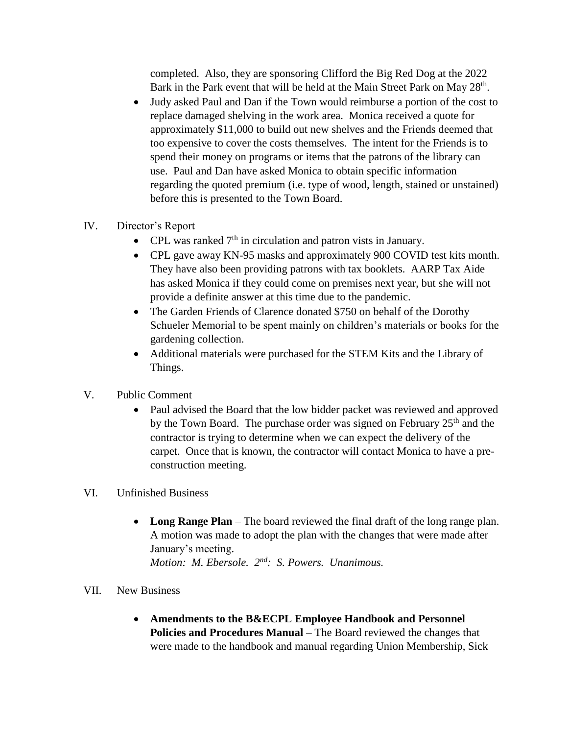completed. Also, they are sponsoring Clifford the Big Red Dog at the 2022 Bark in the Park event that will be held at the Main Street Park on May 28<sup>th</sup>.

- Judy asked Paul and Dan if the Town would reimburse a portion of the cost to replace damaged shelving in the work area. Monica received a quote for approximately \$11,000 to build out new shelves and the Friends deemed that too expensive to cover the costs themselves. The intent for the Friends is to spend their money on programs or items that the patrons of the library can use. Paul and Dan have asked Monica to obtain specific information regarding the quoted premium (i.e. type of wood, length, stained or unstained) before this is presented to the Town Board.
- IV. Director's Report
	- CPL was ranked  $7<sup>th</sup>$  in circulation and patron vists in January.
	- CPL gave away KN-95 masks and approximately 900 COVID test kits month. They have also been providing patrons with tax booklets. AARP Tax Aide has asked Monica if they could come on premises next year, but she will not provide a definite answer at this time due to the pandemic.
	- The Garden Friends of Clarence donated \$750 on behalf of the Dorothy Schueler Memorial to be spent mainly on children's materials or books for the gardening collection.
	- Additional materials were purchased for the STEM Kits and the Library of Things.
- V. Public Comment
	- Paul advised the Board that the low bidder packet was reviewed and approved by the Town Board. The purchase order was signed on February 25<sup>th</sup> and the contractor is trying to determine when we can expect the delivery of the carpet. Once that is known, the contractor will contact Monica to have a preconstruction meeting.
- VI. Unfinished Business
	- **Long Range Plan**  The board reviewed the final draft of the long range plan. A motion was made to adopt the plan with the changes that were made after January's meeting. *Motion: M. Ebersole. 2nd: S. Powers. Unanimous.*
- VII. New Business
	- **Amendments to the B&ECPL Employee Handbook and Personnel Policies and Procedures Manual** – The Board reviewed the changes that were made to the handbook and manual regarding Union Membership, Sick